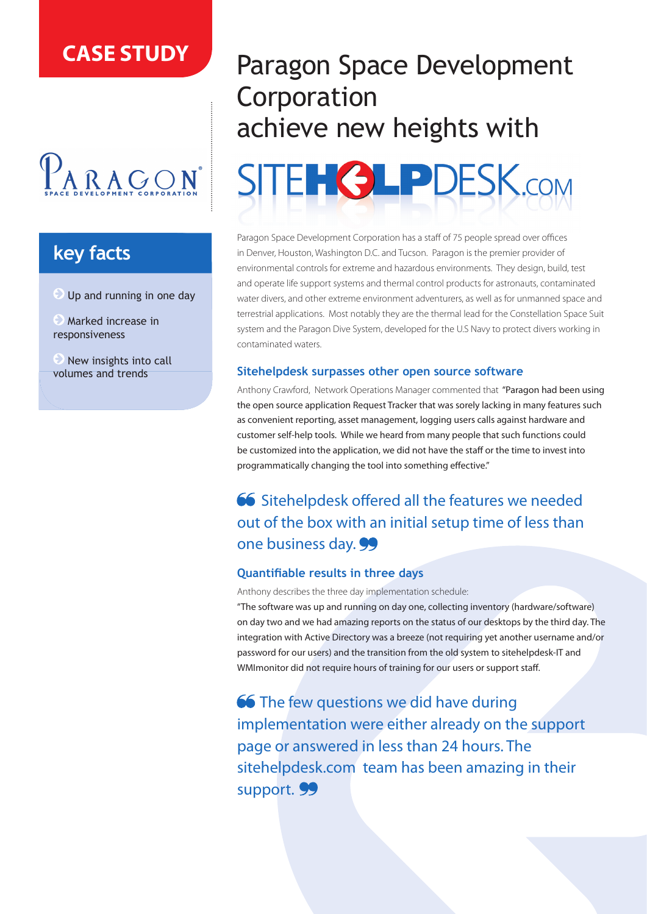## **CASE STUDY**

# $P_{ARAGON}$

## **key facts**

Up and running in one day

**Marked increase in** responsiveness

 $\odot$  New insights into call volumes and trends

## Paragon Space Development Corporation achieve new heights with



Paragon Space Development Corporation has a staff of 75 people spread over offices in Denver, Houston, Washington D.C. and Tucson. Paragon is the premier provider of environmental controls for extreme and hazardous environments. They design, build, test and operate life support systems and thermal control products for astronauts, contaminated water divers, and other extreme environment adventurers, as well as for unmanned space and terrestrial applications. Most notably they are the thermal lead for the Constellation Space Suit system and the Paragon Dive System, developed for the U.S Navy to protect divers working in contaminated waters.

#### **Sitehelpdesk surpasses other open source software**

Anthony Crawford, Network Operations Manager commented that "Paragon had been using the open source application Request Tracker that was sorely lacking in many features such as convenient reporting, asset management, logging users calls against hardware and customer self-help tools. While we heard from many people that such functions could be customized into the application, we did not have the staff or the time to invest into programmatically changing the tool into something effective."

### 66 Sitehelpdesk offered all the features we needed out of the box with an initial setup time of less than one business day. 99

#### **Quantifiable results in three days**

Anthony describes the three day implementation schedule:

"The software was up and running on day one, collecting inventory (hardware/software) on day two and we had amazing reports on the status of our desktops by the third day. The integration with Active Directory was a breeze (not requiring yet another username and/or password for our users) and the transition from the old system to sitehelpdesk-IT and WMImonitor did not require hours of training for our users or support staff.

66 The few questions we did have during implementation were either already on the support page or answered in less than 24 hours. The sitehelpdesk.com team has been amazing in their support. 99